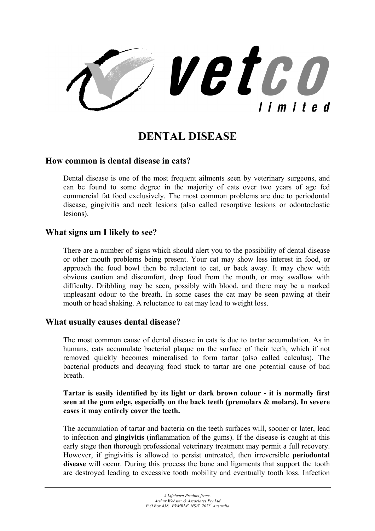vetco limited

# **DENTAL DISEASE**

### **How common is dental disease in cats?**

Dental disease is one of the most frequent ailments seen by veterinary surgeons, and can be found to some degree in the majority of cats over two years of age fed commercial fat food exclusively. The most common problems are due to periodontal disease, gingivitis and neck lesions (also called resorptive lesions or odontoclastic lesions).

## **What signs am I likely to see?**

There are a number of signs which should alert you to the possibility of dental disease or other mouth problems being present. Your cat may show less interest in food, or approach the food bowl then be reluctant to eat, or back away. It may chew with obvious caution and discomfort, drop food from the mouth, or may swallow with difficulty. Dribbling may be seen, possibly with blood, and there may be a marked unpleasant odour to the breath. In some cases the cat may be seen pawing at their mouth or head shaking. A reluctance to eat may lead to weight loss.

#### **What usually causes dental disease?**

The most common cause of dental disease in cats is due to tartar accumulation. As in humans, cats accumulate bacterial plaque on the surface of their teeth, which if not removed quickly becomes mineralised to form tartar (also called calculus). The bacterial products and decaying food stuck to tartar are one potential cause of bad breath.

#### **Tartar is easily identified by its light or dark brown colour - it is normally first seen at the gum edge, especially on the back teeth (premolars & molars). In severe cases it may entirely cover the teeth.**

The accumulation of tartar and bacteria on the teeth surfaces will, sooner or later, lead to infection and **gingivitis** (inflammation of the gums). If the disease is caught at this early stage then thorough professional veterinary treatment may permit a full recovery. However, if gingivitis is allowed to persist untreated, then irreversible **periodontal disease** will occur. During this process the bone and ligaments that support the tooth are destroyed leading to excessive tooth mobility and eventually tooth loss. Infection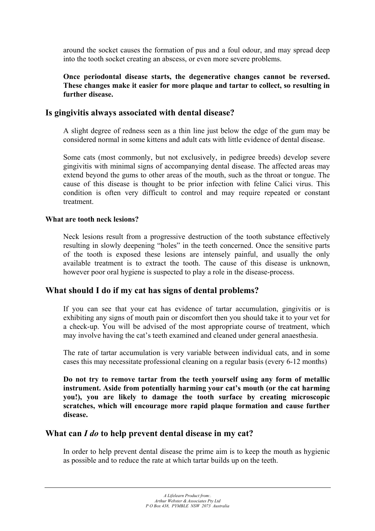around the socket causes the formation of pus and a foul odour, and may spread deep into the tooth socket creating an abscess, or even more severe problems.

### **Once periodontal disease starts, the degenerative changes cannot be reversed. These changes make it easier for more plaque and tartar to collect, so resulting in further disease.**

## **Is gingivitis always associated with dental disease?**

A slight degree of redness seen as a thin line just below the edge of the gum may be considered normal in some kittens and adult cats with little evidence of dental disease.

Some cats (most commonly, but not exclusively, in pedigree breeds) develop severe gingivitis with minimal signs of accompanying dental disease. The affected areas may extend beyond the gums to other areas of the mouth, such as the throat or tongue. The cause of this disease is thought to be prior infection with feline Calici virus. This condition is often very difficult to control and may require repeated or constant treatment.

### **What are tooth neck lesions?**

Neck lesions result from a progressive destruction of the tooth substance effectively resulting in slowly deepening "holes" in the teeth concerned. Once the sensitive parts of the tooth is exposed these lesions are intensely painful, and usually the only available treatment is to extract the tooth. The cause of this disease is unknown, however poor oral hygiene is suspected to play a role in the disease-process.

# **What should I do if my cat has signs of dental problems?**

If you can see that your cat has evidence of tartar accumulation, gingivitis or is exhibiting any signs of mouth pain or discomfort then you should take it to your vet for a check-up. You will be advised of the most appropriate course of treatment, which may involve having the cat's teeth examined and cleaned under general anaesthesia.

The rate of tartar accumulation is very variable between individual cats, and in some cases this may necessitate professional cleaning on a regular basis (every 6-12 months)

**Do not try to remove tartar from the teeth yourself using any form of metallic instrument. Aside from potentially harming your cat's mouth (or the cat harming you!), you are likely to damage the tooth surface by creating microscopic scratches, which will encourage more rapid plaque formation and cause further disease.** 

# **What can** *I do* **to help prevent dental disease in my cat?**

In order to help prevent dental disease the prime aim is to keep the mouth as hygienic as possible and to reduce the rate at which tartar builds up on the teeth.